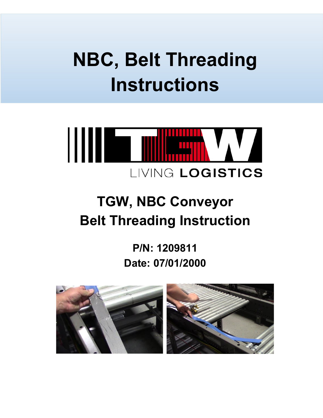# **NBC, Belt Threading Instructions**

## **TGW, NBC Conveyor Belt Threading Instruction**

**P/N: 1209811 Date: 07/01/2000**

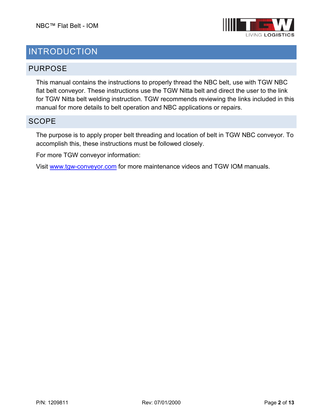

## INTRODUCTION

#### PURPOSE

This manual contains the instructions to properly thread the NBC belt, use with TGW NBC flat belt conveyor. These instructions use the TGW Nitta belt and direct the user to the link for TGW Nitta belt welding instruction. TGW recommends reviewing the links included in this manual for more details to belt operation and NBC applications or repairs.

#### **SCOPE**

The purpose is to apply proper belt threading and location of belt in TGW NBC conveyor. To accomplish this, these instructions must be followed closely.

For more TGW conveyor information:

Visit [www.tgw-conveyor.com](http://www.tgw-conveyor.com/) for more maintenance videos and TGW IOM manuals.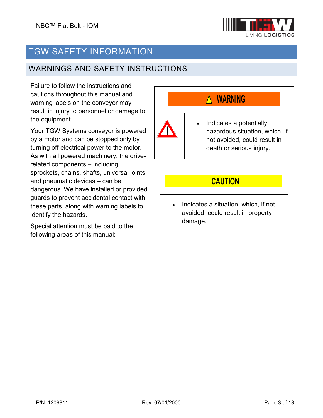

## TGW SAFETY INFORMATION

#### WARNINGS AND SAFETY INSTRUCTIONS

Failure to follow the instructions and cautions throughout this manual and warning labels on the conveyor may result in injury to personnel or damage to the equipment.

Your TGW Systems conveyor is powered by a motor and can be stopped only by turning off electrical power to the motor. As with all powered machinery, the driverelated components – including sprockets, chains, shafts, universal joints, and pneumatic devices – can be dangerous. We have installed or provided guards to prevent accidental contact with these parts, along with warning labels to identify the hazards.

Special attention must be paid to the following areas of this manual:

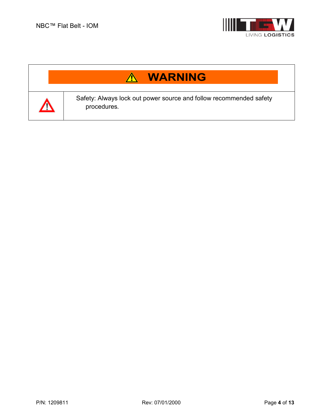

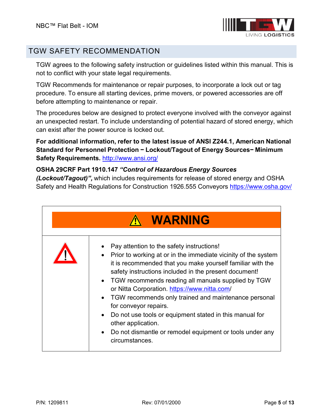

#### TGW SAFETY RECOMMENDATION

TGW agrees to the following safety instruction or guidelines listed within this manual. This is not to conflict with your state legal requirements.

TGW Recommends for maintenance or repair purposes, to incorporate a lock out or tag procedure. To ensure all starting devices, prime movers, or powered accessories are off before attempting to maintenance or repair.

The procedures below are designed to protect everyone involved with the conveyor against an unexpected restart. To include understanding of potential hazard of stored energy, which can exist after the power source is locked out.

**For additional information, refer to the latest issue of ANSI Z244.1, American National Standard for Personnel Protection − Lockout/Tagout of Energy Sources− Minimum Safety Requirements.** <http://www.ansi.org/>

#### **OSHA 29CRF Part 1910.147** *"Control of Hazardous Energy Sources*

*(Lockout/Tagout)",* which includes requirements for release of stored energy and OSHA Safety and Health Regulations for Construction 1926.555 Conveyors<https://www.osha.gov/>

| <b>WARNING</b>                                                                                                                                                                                                                                                                                                                                                                                                                                                                                                                                                                               |
|----------------------------------------------------------------------------------------------------------------------------------------------------------------------------------------------------------------------------------------------------------------------------------------------------------------------------------------------------------------------------------------------------------------------------------------------------------------------------------------------------------------------------------------------------------------------------------------------|
| Pay attention to the safety instructions!<br>Prior to working at or in the immediate vicinity of the system<br>it is recommended that you make yourself familiar with the<br>safety instructions included in the present document!<br>• TGW recommends reading all manuals supplied by TGW<br>or Nitta Corporation. https://www.nitta.com/<br>• TGW recommends only trained and maintenance personal<br>for conveyor repairs.<br>Do not use tools or equipment stated in this manual for<br>other application.<br>Do not dismantle or remodel equipment or tools under any<br>circumstances. |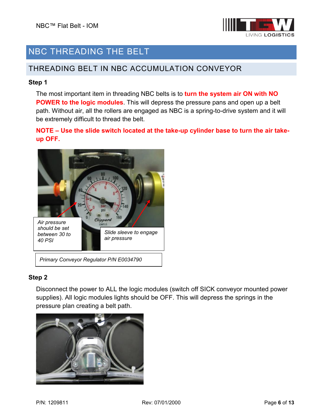

## NBC THREADING THE BELT

#### THREADING BELT IN NBC ACCUMULATION CONVEYOR

#### **Step 1**

The most important item in threading NBC belts is to **turn the system air ON with NO POWER to the logic modules**. This will depress the pressure pans and open up a belt path. Without air, all the rollers are engaged as NBC is a spring-to-drive system and it will be extremely difficult to thread the belt.

**NOTE – Use the slide switch located at the take-up cylinder base to turn the air takeup OFF.**



## **Step 2**

Disconnect the power to ALL the logic modules (switch off SICK conveyor mounted power supplies). All logic modules lights should be OFF. This will depress the springs in the pressure plan creating a belt path.

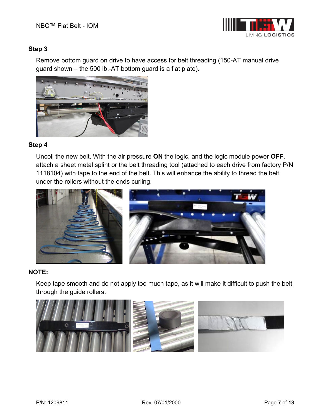

#### **Step 3**

Remove bottom guard on drive to have access for belt threading (150-AT manual drive guard shown – the 500 lb.-AT bottom guard is a flat plate).



#### **Step 4**

Uncoil the new belt. With the air pressure **ON** the logic, and the logic module power **OFF**, attach a sheet metal splint or the belt threading tool (attached to each drive from factory P/N 1118104) with tape to the end of the belt. This will enhance the ability to thread the belt under the rollers without the ends curling.



#### **NOTE:**

Keep tape smooth and do not apply too much tape, as it will make it difficult to push the belt through the guide rollers.

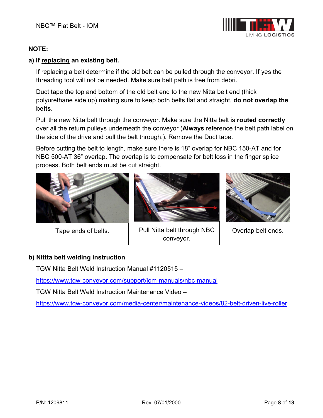## **MHS** CONVEYOR

#### **NOTE:**

#### **a) If replacing an existing belt.**

If replacing a belt determine if the old belt can be pulled through the conveyor. If yes the threading tool will not be needed. Make sure belt path is free from debri.

Duct tape the top and bottom of the old belt end to the new Nitta belt end (thick polyurethane side up) making sure to keep both belts flat and straight, **do not overlap the belts**.

Pull the new Nitta belt through the conveyor. Make sure the Nitta belt is **routed correctly** over all the return pulleys underneath the conveyor (**Always** reference the belt path label on the side of the drive and pull the belt through.). Remove the Duct tape.

Before cutting the belt to length, make sure there is 18" overlap for NBC 150-AT and for NBC 500-AT 36" overlap. The overlap is to compensate for belt loss in the finger splice process. Both belt ends must be cut straight.





Tape ends of belts.  $||$  Pull Nitta belt through NBC  $||$  Overlap belt ends. conveyor.



#### **b) Nittta belt welding instruction**

TGW Nitta Belt Weld Instruction Manual #1120515 –

<https://www.tgw-conveyor.com/support/iom-manuals/nbc-manual>

TGW Nitta Belt Weld Instruction Maintenance Video –

<https://www.tgw-conveyor.com/media-center/maintenance-videos/82-belt-driven-live-roller>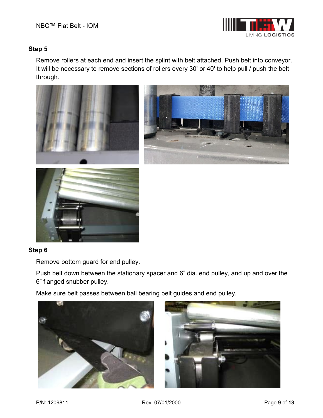

#### **Step 5**

Remove rollers at each end and insert the splint with belt attached. Push belt into conveyor. It will be necessary to remove sections of rollers every 30' or 40' to help pull / push the belt through.



#### **Step 6**

Remove bottom guard for end pulley.

Push belt down between the stationary spacer and 6" dia. end pulley, and up and over the 6" flanged snubber pulley.

Make sure belt passes between ball bearing belt guides and end pulley.



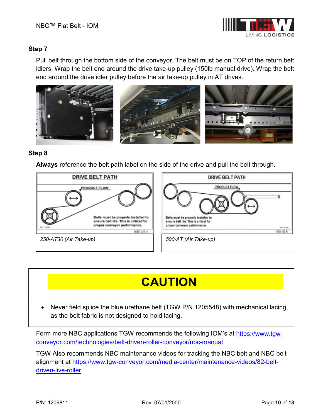

#### **Step 7**

Pull belt through the bottom side of the conveyor. The belt must be on TOP of the return belt idlers. Wrap the belt end around the drive take-up pulley (150lb manual drive). Wrap the belt end around the drive idler pulley before the air take-up pulley in AT drives.



#### **Step 8**

**Always** reference the belt path label on the side of the drive and pull the belt through.



## **CAUTION**

• Never field splice the blue urethane belt (TGW P/N 1205548) with mechanical lacing, as the belt fabric is not designed to hold lacing.

Form more NBC applications TGW recommends the following IOM's at [https://www.tgw](https://www.tgw-conveyor.com/technologies/belt-driven-roller-conveyor/nbc-manual)[conveyor.com/technologies/belt-driven-roller-conveyor/nbc-manual](https://www.tgw-conveyor.com/technologies/belt-driven-roller-conveyor/nbc-manual)

TGW Also recommends NBC maintenance videos for tracking the NBC belt and NBC belt alignment at [https://www.tgw-conveyor.com/media-center/maintenance-videos/82-belt](https://www.tgw-conveyor.com/media-center/maintenance-videos/82-belt-driven-live-roller)[driven-live-roller](https://www.tgw-conveyor.com/media-center/maintenance-videos/82-belt-driven-live-roller)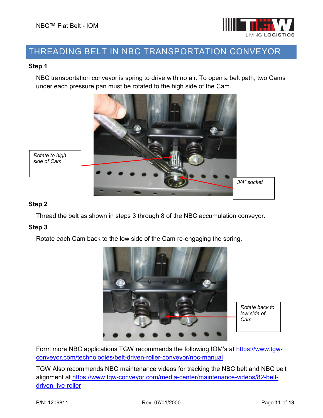

### THREADING BELT IN NBC TRANSPORTATION CONVEYOR

#### **Step 1**

NBC transportation conveyor is spring to drive with no air. To open a belt path, two Cams under each pressure pan must be rotated to the high side of the Cam.



#### **Step 2**

Thread the belt as shown in steps 3 through 8 of the NBC accumulation conveyor.

#### **Step 3**

Rotate each Cam back to the low side of the Cam re-engaging the spring.



*Rotate back to low side of Cam*

Form more NBC applications TGW recommends the following IOM's at [https://www.tgw](https://www.tgw-conveyor.com/technologies/belt-driven-roller-conveyor/nbc-manual)[conveyor.com/technologies/belt-driven-roller-conveyor/nbc-manual](https://www.tgw-conveyor.com/technologies/belt-driven-roller-conveyor/nbc-manual)

TGW Also recommends NBC maintenance videos for tracking the NBC belt and NBC belt alignment at [https://www.tgw-conveyor.com/media-center/maintenance-videos/82-belt](https://www.tgw-conveyor.com/media-center/maintenance-videos/82-belt-driven-live-roller)[driven-live-roller](https://www.tgw-conveyor.com/media-center/maintenance-videos/82-belt-driven-live-roller)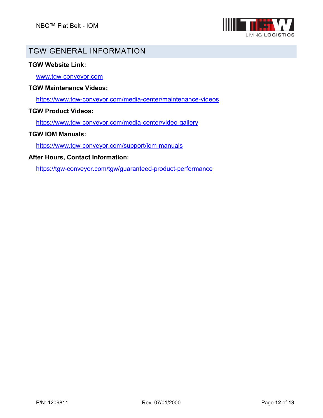

## GENERAL INFORMATION

#### **Website Link:**

[www.tgw-conveyor.com](http://www.tgw-conveyor.com/)